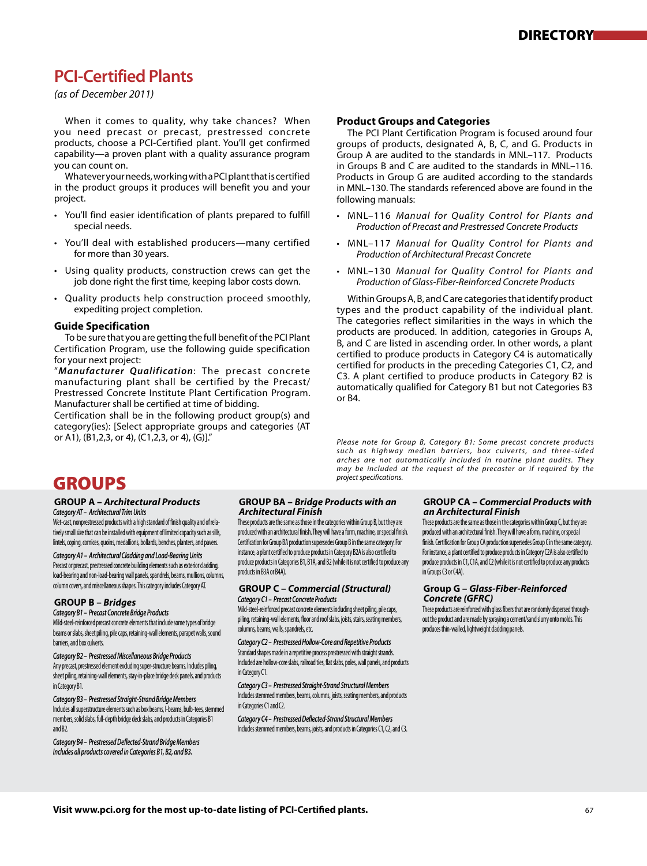# **PCI-Certified Plants**

*(as of December 2011)*

 When it comes to quality, why take chances? When you need precast or precast, prestressed concrete products, choose a PCI-Certified plant. You'll get confirmed capability—a proven plant with a quality assurance program you can count on.

 Whatever your needs, working with a PCI plant that is certified in the product groups it produces will benefit you and your project.

- You'll find easier identification of plants prepared to fulfill special needs.
- You'll deal with established producers—many certified for more than 30 years.
- Using quality products, construction crews can get the job done right the first time, keeping labor costs down.
- Quality products help construction proceed smoothly, expediting project completion.

#### **Guide Specification**

 To be sure that you are getting the full benefit of the PCI Plant Certification Program, use the following guide specification for your next project:

"*Manufacturer Qualification*: The precast concrete manufacturing plant shall be certified by the Precast/ Prestressed Concrete Institute Plant Certification Program. Manufacturer shall be certified at time of bidding.

Certification shall be in the following product group(s) and category(ies): [Select appropriate groups and categories (AT or A1), (B1,2,3, or 4), (C1,2,3, or 4), (G)]."

# **Product Groups and Categories**

 The PCI Plant Certification Program is focused around four groups of products, designated A, B, C, and G. Products in Group A are audited to the standards in MNL–117. Products in Groups B and C are audited to the standards in MNL–116. Products in Group G are audited according to the standards in MNL–130. The standards referenced above are found in the following manuals:

- MNL–116 *Manual for Quality Control for Plants and Production of Precast and Prestressed Concrete Products*
- MNL–117 *Manual for Quality Control for Plants and Production of Architectural Precast Concrete*
- MNL–130 *Manual for Quality Control for Plants and Production of Glass-Fiber-Reinforced Concrete Products*

 Within Groups A, B, and C are categories that identify product types and the product capability of the individual plant. The categories reflect similarities in the ways in which the products are produced. In addition, categories in Groups A, B, and C are listed in ascending order. In other words, a plant certified to produce products in Category C4 is automatically certified for products in the preceding Categories C1, C2, and C3. A plant certified to produce products in Category B2 is automatically qualified for Category B1 but not Categories B3 or B4.

*Please note for Group B, Category B1: Some precast concrete products*  such as highway median barriers, box culverts, and three-sided *arches are not automatically included in routine plant audits. They may be included at the request of the precaster or if required by the project specifications.*

# GROUPS

#### **GROUP A –** *Architectural Products* *Category AT – Architectural Trim Units*

Wet-cast, nonprestressed products with a high standard of finish quality and of relatively small size that can be installed with equipment of limited capacity such as sills, lintels, coping, cornices, quoins, medallions, bollards, benches, planters, and pavers.

*Category A1 – Architectural Cladding and Load-Bearing Units* Precast or precast, prestressed concrete building elements such as exterior cladding, load-bearing and non-load-bearing wall panels, spandrels, beams, mullions, columns, column covers, and miscellaneous shapes. This category includes Category AT.

### **GROUP B –** *Bridges*

#### *Category B1 – Precast Concrete Bridge Products*

Mild-steel-reinforced precast concrete elements that include some types of bridge beams or slabs, sheet piling, pile caps, retaining-wall elements, parapet walls, sound barriers, and box culverts.

*Category B2 – Prestressed Miscellaneous Bridge Products*  Any precast, prestressed element excluding super-structure beams. Includes piling, sheet piling, retaining-wall elements, stay-in-place bridge deck panels, and products in Category R1

*Category B3 – Prestressed Straight-Strand Bridge Members*  Includes all superstructure elements such as box beams, I-beams, bulb-tees, stemmed members, solid slabs, full-depth bridge deck slabs, and products in Categories B1 and B2.

*Category B4 – Prestressed Deflected-Strand Bridge Members Includes all products covered in Categories B1, B2, and B3.*

### **GROUP BA –** *Bridge Products with an Architectural Finish*

These products are the same as those in the categories within Group B, but they are produced with an architectural finish. They will have a form, machine, or special finish. Certification for Group BA production supersedes Group B in the same category. For instance, a plant certified to produce products in Category B2A is also certified to produce products in Categories B1, B1A, and B2 (while it is not certified to produce any products in B3A or B4A).

#### **GROUP C –** *Commercial (Structural) Category C1 – Precast Concrete Products*

Mild-steel-reinforced precast concrete elements including sheet piling, pile caps, piling, retaining-wall elements, floor and roof slabs, joists, stairs, seating members, columns, beams, walls, spandrels, etc.

*Category C2 – Prestressed Hollow-Core and Repetitive Products*  Standard shapes made in a repetitive process prestressed with straight strands. Included are hollow-core slabs, railroad ties, flat slabs, poles, wall panels, and products in Category C1.

*Category C3 – Prestressed Straight-Strand Structural Members*  Includes stemmed members, beams, columns, joists, seating members, and products in Categories C1 and C2.

*Category C4 – Prestressed Deflected-Strand Structural Members*  Includes stemmed members, beams, joists, and products in Categories C1, C2, and C3.

#### **GROUP CA –** *Commercial Products with an Architectural Finish*

These products are the same as those in the categories within Group C, but they are produced with an architectural finish. They will have a form, machine, or special finish. Certification for Group CA production supersedes Group C in the same category. For instance, a plant certified to produce products in Category C2A is also certified to produce products in C1, C1A, and C2 (while it is not certified to produce any products in Groups C3 or C4A).

#### **Group G –** *Glass-Fiber-Reinforced Concrete (GFRC)*

These products are reinforced with glass fibers that are randomly dispersed throughout the product and are made by spraying a cement/sand slurry onto molds. This produces thin-walled, lightweight cladding panels.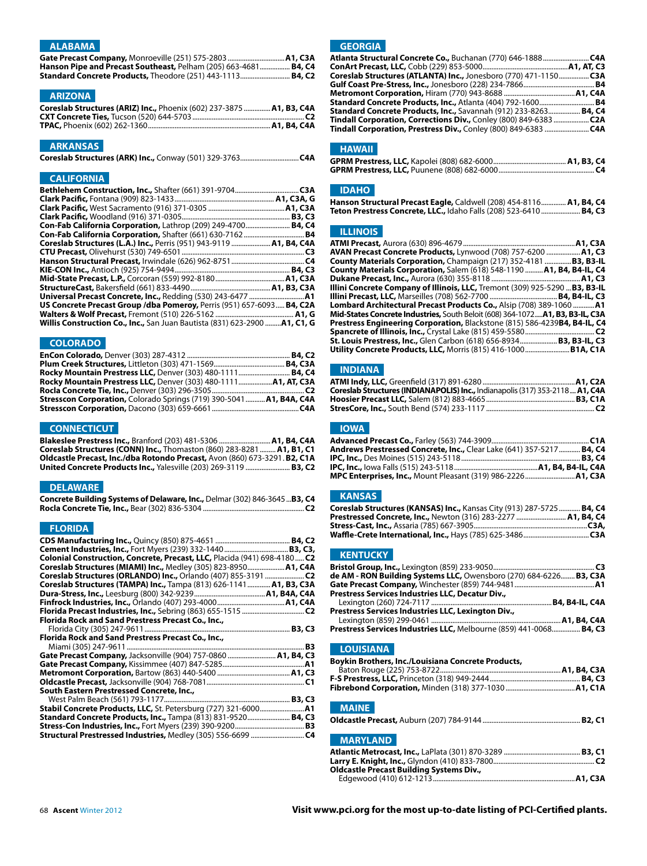# **ALABAMA**

| Hanson Pipe and Precast Southeast, Pelham (205) 663-4681 B4, C4   |  |
|-------------------------------------------------------------------|--|
| <b>Standard Concrete Products, Theodore (251) 443-1113 B4, C2</b> |  |

# **ARIZONA**

| Coreslab Structures (ARIZ) Inc., Phoenix (602) 237-3875  A1, B3, C4A |  |
|----------------------------------------------------------------------|--|
|                                                                      |  |
|                                                                      |  |

## **ARKANSAS**

|--|--|--|--|--|

# **CALIFORNIA**

| <b>Con-Fab California Corporation, Lathrop (209) 249-4700 B4, C4</b>              |  |
|-----------------------------------------------------------------------------------|--|
| <b>Con-Fab California Corporation, Shafter (661) 630-7162 B4</b>                  |  |
| Coreslab Structures (L.A.) Inc., Perris (951) 943-9119  A1, B4, C4A               |  |
|                                                                                   |  |
|                                                                                   |  |
|                                                                                   |  |
|                                                                                   |  |
|                                                                                   |  |
|                                                                                   |  |
| US Concrete Precast Group /dba Pomeroy, Perris (951) 657-6093 B4, C2A             |  |
|                                                                                   |  |
| <b>Willis Construction Co., Inc., San Juan Bautista (831) 623-2900  A1, C1, G</b> |  |

# **COLORADO**

| Rocky Mountain Prestress LLC, Denver (303) 480-1111 B4, C4           |  |
|----------------------------------------------------------------------|--|
| Rocky Mountain Prestress LLC, Denver (303) 480-1111 A1, AT, C3A      |  |
|                                                                      |  |
| Stresscon Corporation, Colorado Springs (719) 390-5041  A1, B4A, C4A |  |
|                                                                      |  |
|                                                                      |  |

# **CONNECTICUT**

**Blakeslee Prestress Inc.,** Branford (203) 481-5306 ............................... **A1, B4, C4A**<br>**Coreslab Structures (CONN) Inc.,** Thomaston (860) 283-8281 ........ **A1, B1, C1**<br>Oldcastle Precast, Inc./dba Rotondo Precas **United Concrete Products Inc.,** Yalesville (203) 269-3119 ......................... **B3, C2** 

#### **DELAWARE**

| Concrete Building Systems of Delaware, Inc., Delmar (302) 846-3645  B3, C4             |  |
|----------------------------------------------------------------------------------------|--|
| <b>Rocla Concrete Tie, Inc.,</b> Bear (302) 836-5304 ……………………………………………………………………………………… |  |

## **FLORIDA**

| Colonial Construction, Concrete, Precast, LLC, Placida (941) 698-4180 C2                                                          |  |
|-----------------------------------------------------------------------------------------------------------------------------------|--|
| Coreslab Structures (MIAMI) Inc., Medley (305) 823-8950 A1, C4A<br>Coreslab Structures (ORLANDO) Inc., Orlando (407) 855-3191  C2 |  |
| Coreslab Structures (TAMPA) Inc., Tampa (813) 626-1141 A1, B3, C3A                                                                |  |
|                                                                                                                                   |  |
|                                                                                                                                   |  |
| Florida Rock and Sand Prestress Precast Co., Inc.,                                                                                |  |
|                                                                                                                                   |  |
| Florida Rock and Sand Prestress Precast Co., Inc.,                                                                                |  |
| Gate Precast Company, Jacksonville (904) 757-0860  A1, B4, C3                                                                     |  |
|                                                                                                                                   |  |
|                                                                                                                                   |  |
| South Eastern Prestressed Concrete, Inc.,                                                                                         |  |
|                                                                                                                                   |  |
|                                                                                                                                   |  |
| Standard Concrete Products, Inc., Tampa (813) 831-9520 B4, C3                                                                     |  |
|                                                                                                                                   |  |

# **GEORGIA**

| Atlanta Structural Concrete Co., Buchanan (770) 646-1888 C4A            |  |
|-------------------------------------------------------------------------|--|
|                                                                         |  |
| Coreslab Structures (ATLANTA) Inc., Jonesboro (770) 471-1150 C3A        |  |
|                                                                         |  |
|                                                                         |  |
| <b>Standard Concrete Products, Inc., Atlanta (404) 792-1600 B4</b>      |  |
| <b>Standard Concrete Products, Inc., Savannah (912) 233-8263 B4, C4</b> |  |
| Tindall Corporation, Corrections Div., Conley (800) 849-6383  C2A       |  |
|                                                                         |  |
|                                                                         |  |

# **HAWAII**

## **IDAHO**

| Hanson Structural Precast Eagle, Caldwell (208) 454-8116 A1, B4, C4 |  |
|---------------------------------------------------------------------|--|
| Teton Prestress Concrete, LLC., Idaho Falls (208) 523-6410  B4, C3  |  |

# **ILLINOIS**

| AVAN Precast Concrete Products, Lynwood (708) 757-6200  A1, C3                               |  |
|----------------------------------------------------------------------------------------------|--|
| County Materials Corporation, Champaign (217) 352-4181 B3, B3-IL                             |  |
| County Materials Corporation, Salem (618) 548-1190  A1, B4, B4-IL, C4                        |  |
|                                                                                              |  |
| Illini Concrete Company of Illinois, LLC, Tremont (309) 925-5290  B3, B3-IL                  |  |
|                                                                                              |  |
| <b>Lombard Architectural Precast Products Co.,</b> Alsip (708) 389-1060 A1                   |  |
| <b>Mid-States Concrete Industries,</b> South Beloit (608) 364-1072 <b>A1, B3, B3-IL, C3A</b> |  |
| Prestress Engineering Corporation, Blackstone (815) 586-4239B4, B4-IL, C4                    |  |
|                                                                                              |  |
| St. Louis Prestress, Inc., Glen Carbon (618) 656-8934 B3, B3-IL, C3                          |  |
|                                                                                              |  |

### **INDIANA**

| Coreslab Structures (INDIANAPOLIS) Inc., Indianapolis (317) 353-2118 A1, C4A |  |
|------------------------------------------------------------------------------|--|
|                                                                              |  |
|                                                                              |  |

### **IOWA**

| <b>Andrews Prestressed Concrete, Inc.,</b> Clear Lake (641) 357-5217 <b>B4, C4</b> |  |
|------------------------------------------------------------------------------------|--|
|                                                                                    |  |
|                                                                                    |  |
| MPC Enterprises, Inc., Mount Pleasant (319) 986-2226 A1, C3A                       |  |

### **KANSAS**

| Coreslab Structures (KANSAS) Inc., Kansas City (913) 287-5725  B4, C4 |  |
|-----------------------------------------------------------------------|--|
| Prestressed Concrete, Inc., Newton (316) 283-2277  A1, B4, C4         |  |
|                                                                       |  |
|                                                                       |  |

# **KENTUCKY**

| de AM - RON Building Systems LLC, Owensboro (270) 684-6226 B3, C3A |  |
|--------------------------------------------------------------------|--|
|                                                                    |  |
| Prestress Services Industries LLC, Decatur Div.,                   |  |
|                                                                    |  |
| Prestress Services Industries LLC, Lexington Div.,                 |  |
|                                                                    |  |
| Prestress Services Industries LLC, Melbourne (859) 441-0068 B4, C3 |  |

#### **LOUISIANA**

| Boykin Brothers, Inc./Louisiana Concrete Products, |  |
|----------------------------------------------------|--|
|                                                    |  |
|                                                    |  |
| <b>MAINE</b>                                       |  |
|                                                    |  |
| <b>MARYLAND</b>                                    |  |
|                                                    |  |
| <b>Oldcastle Precast Building Systems Div.,</b>    |  |
|                                                    |  |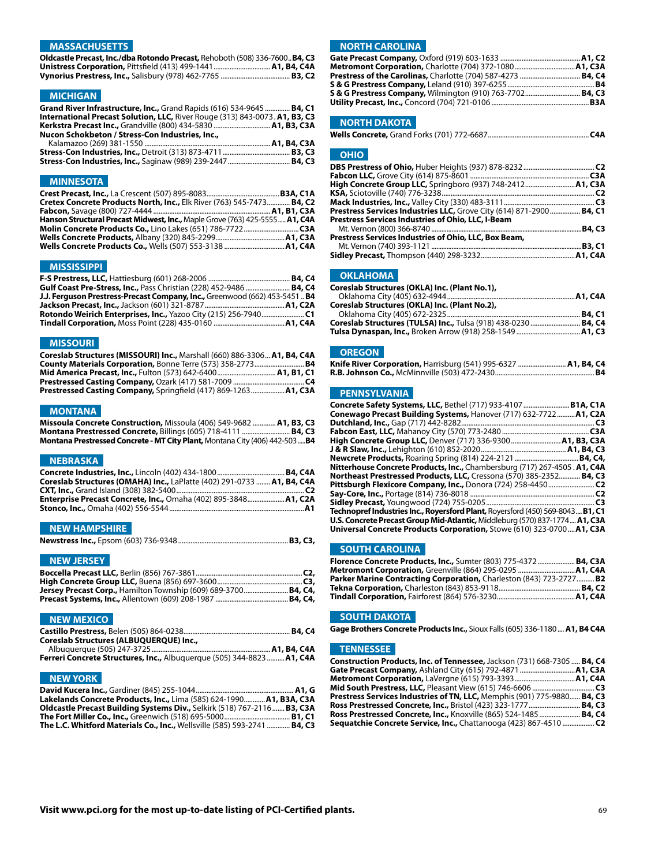### **MASSACHUSETTS**

**Oldcastle Precast, Inc./dba Rotondo Precast,** Rehoboth (508) 336-7600..**B4, C3 Unistress Corporation,** Pittsfield (413) 499-1441................................**A1, B4, C4A Vynorius Prestress, Inc.,** Salisbury (978) 462-7765 ....................................... **B3, C2** 

#### **MICHIGAN**

**Grand River Infrastructure, Inc.,** Grand Rapids (616) 534-9645 .............. **B4, C1 International Precast Solution, LLC,** River Rouge (313) 843-0073.**A1, B3, C3 Kerkstra Precast Inc.,** Grandville (800) 434-5830 ................................**A1, B3, C3A Nucon Schokbeton / Stress-Con Industries, Inc.,** 

#### **MINNESOTA**

| Cretex Concrete Products North, Inc., Elk River (763) 545-7473 B4, C2       |  |
|-----------------------------------------------------------------------------|--|
|                                                                             |  |
| Hanson Structural Precast Midwest, Inc., Maple Grove (763) 425-5555 A1, C4A |  |
|                                                                             |  |
|                                                                             |  |
|                                                                             |  |

#### **MISSISSIPPI**

| Gulf Coast Pre-Stress, Inc., Pass Christian (228) 452-9486  B4, C4          |  |
|-----------------------------------------------------------------------------|--|
| J.J. Ferguson Prestress-Precast Company, Inc., Greenwood (662) 453-5451  B4 |  |
|                                                                             |  |
|                                                                             |  |
|                                                                             |  |

#### **MISSOURI**

| Coreslab Structures (MISSOURI) Inc., Marshall (660) 886-3306 A1, B4, C4A |  |
|--------------------------------------------------------------------------|--|
| County Materials Corporation, Bonne Terre (573) 358-2773 B4              |  |
| <b>Mid America Precast, Inc., Fulton (573) 642-6400 A1, B1, C1</b>       |  |
|                                                                          |  |
| Prestressed Casting Company, Springfield (417) 869-1263 A1, C3A          |  |

#### **MONTANA**

| Missoula Concrete Construction, Missoula (406) 549-9682  A1, B3, C3                |  |
|------------------------------------------------------------------------------------|--|
| Montana Prestressed Concrete, Billings (605) 718-4111  B4, C3                      |  |
| <b>Montana Prestressed Concrete - MT City Plant, Montana City (406) 442-503 B4</b> |  |

# **NEBRASKA**

| Coreslab Structures (OMAHA) Inc., LaPlatte (402) 291-0733  A1, B4, C4A |  |
|------------------------------------------------------------------------|--|
|                                                                        |  |
| Enterprise Precast Concrete, Inc., Omaha (402) 895-3848 A1, C2A        |  |
|                                                                        |  |

#### **NEW HAMPSHIRE**

|--|--|--|--|

### **NEW JERSEY**

| Jersey Precast Corp., Hamilton Township (609) 689-3700 B4, C4, |  |
|----------------------------------------------------------------|--|
|                                                                |  |

# **NEW MEXICO**

| Coreslab Structures (ALBUQUERQUE) Inc.,                                |  |
|------------------------------------------------------------------------|--|
|                                                                        |  |
| Ferreri Concrete Structures, Inc., Albuguergue (505) 344-8823  A1, C4A |  |

#### **NEW YORK**

| Lakelands Concrete Products, Inc., Lima (585) 624-1990 A1, B3A, C3A             |  |
|---------------------------------------------------------------------------------|--|
| <b>Oldcastle Precast Building Systems Div., Selkirk (518) 767-2116 B3, C3A</b>  |  |
|                                                                                 |  |
| <b>The L.C. Whitford Materials Co., Inc., Wellsville (585) 593-2741  B4, C3</b> |  |

# **NORTH CAROLINA**

| S & G Prestress Company, Wilmington (910) 763-7702 B4, C3 |  |
|-----------------------------------------------------------|--|
|                                                           |  |
|                                                           |  |

# **NORTH DAKOTA**

|--|--|

#### **OHIO**

| High Concrete Group LLC, Springboro (937) 748-2412 A1, C3A                        |  |
|-----------------------------------------------------------------------------------|--|
|                                                                                   |  |
|                                                                                   |  |
| <b>Prestress Services Industries LLC,</b> Grove City (614) 871-2900 <b>B4, C1</b> |  |
| Prestress Services Industries of Ohio, LLC, I-Beam                                |  |
|                                                                                   |  |
| Prestress Services Industries of Ohio, LLC, Box Beam,                             |  |
|                                                                                   |  |
|                                                                                   |  |
|                                                                                   |  |

#### **OKLAHOMA**

| Coreslab Structures (OKLA) Inc. (Plant No.1),                  |  |
|----------------------------------------------------------------|--|
|                                                                |  |
| Coreslab Structures (OKLA) Inc. (Plant No.2),                  |  |
|                                                                |  |
| Coreslab Structures (TULSA) Inc., Tulsa (918) 438-0230  B4, C4 |  |
|                                                                |  |

#### **OREGON**

| Knife River Corporation, Harrisburg (541) 995-6327  A1, B4, C4 |  |
|----------------------------------------------------------------|--|
|                                                                |  |

# **PENNSYLVANIA**

| Concrete Safety Systems, LLC, Bethel (717) 933-4107 B1A, C1A                                 |    |
|----------------------------------------------------------------------------------------------|----|
| Conewago Precast Building Systems, Hanover (717) 632-7722A1, C2A                             |    |
|                                                                                              | C3 |
|                                                                                              |    |
| High Concrete Group LLC, Denver (717) 336-9300  A1, B3, C3A                                  |    |
|                                                                                              |    |
|                                                                                              |    |
| Nitterhouse Concrete Products, Inc., Chambersburg (717) 267-4505 . A1, C4A                   |    |
| <b>Northeast Prestressed Products, LLC,</b> Cressona (570) 385-2352 B4, C3                   |    |
|                                                                                              |    |
|                                                                                              |    |
|                                                                                              |    |
| <b>Technopref Industries Inc., Royersford Plant,</b> Royersford (450) 569-8043 <b>B1, C1</b> |    |
| U.S. Concrete Precast Group Mid-Atlantic, Middleburg (570) 837-1774 A1, C3A                  |    |
| <b>Universal Concrete Products Corporation,</b> Stowe (610) 323-0700 <b>A1, C3A</b>          |    |

# **SOUTH CAROLINA**

| Florence Concrete Products, Inc., Sumter (803) 775-4372  B4, C3A    |  |
|---------------------------------------------------------------------|--|
| Metromont Corporation, Greenville (864) 295-0295  A1, C4A           |  |
| Parker Marine Contracting Corporation, Charleston (843) 723-2727 B2 |  |
|                                                                     |  |
|                                                                     |  |

### **SOUTH DAKOTA**

**Gage Brothers Concrete Products Inc.,** Sioux Falls (605) 336-1180....**A1, B4 C4A**

# **TENNESSEE**

| Construction Products, Inc. of Tennessee, Jackson (731) 668-7305  B4, C4 |  |
|--------------------------------------------------------------------------|--|
|                                                                          |  |
|                                                                          |  |
|                                                                          |  |
| Prestress Services Industries of TN, LLC, Memphis (901) 775-9880 B4, C3  |  |
| <b>Ross Prestressed Concrete, Inc., Bristol (423) 323-1777  B4, C3</b>   |  |
| <b>Ross Prestressed Concrete, Inc., Knoxville (865) 524-1485  B4, C4</b> |  |
| Sequatchie Concrete Service, Inc., Chattanooga (423) 867-4510  C2        |  |